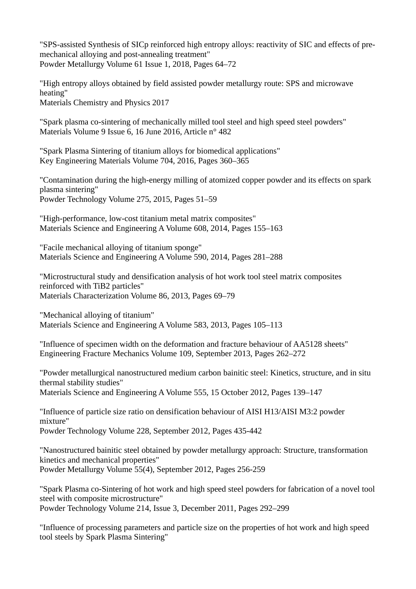"SPS-assisted Synthesis of SICp reinforced high entropy alloys: reactivity of SIC and effects of premechanical alloying and post-annealing treatment" Powder Metallurgy Volume 61 Issue 1, 2018, Pages 64–72

"High entropy alloys obtained by field assisted powder metallurgy route: SPS and microwave heating" Materials Chemistry and Physics 2017

"Spark plasma co-sintering of mechanically milled tool steel and high speed steel powders" Materials Volume 9 Issue 6, 16 June 2016, Article n° 482

"Spark Plasma Sintering of titanium alloys for biomedical applications" Key Engineering Materials Volume 704, 2016, Pages 360–365

"Contamination during the high-energy milling of atomized copper powder and its effects on spark plasma sintering" Powder Technology Volume 275, 2015, Pages 51–59

"High-performance, low-cost titanium metal matrix composites" Materials Science and Engineering A Volume 608, 2014, Pages 155–163

"Facile mechanical alloying of titanium sponge" Materials Science and Engineering A Volume 590, 2014, Pages 281–288

"Microstructural study and densification analysis of hot work tool steel matrix composites reinforced with TiB2 particles" Materials Characterization Volume 86, 2013, Pages 69–79

"Mechanical alloying of titanium" Materials Science and Engineering A Volume 583, 2013, Pages 105–113

"Influence of specimen width on the deformation and fracture behaviour of AA5128 sheets" Engineering Fracture Mechanics Volume 109, September 2013, Pages 262–272

"Powder metallurgical nanostructured medium carbon bainitic steel: Kinetics, structure, and in situ thermal stability studies"

Materials Science and Engineering A Volume 555, 15 October 2012, Pages 139–147

"Influence of particle size ratio on densification behaviour of AISI H13/AISI M3:2 powder mixture"

Powder Technology Volume 228, September 2012, Pages 435-442

"Nanostructured bainitic steel obtained by powder metallurgy approach: Structure, transformation kinetics and mechanical properties" Powder Metallurgy Volume 55(4), September 2012, Pages 256-259

"Spark Plasma co-Sintering of hot work and high speed steel powders for fabrication of a novel tool steel with composite microstructure" Powder Technology Volume 214, Issue 3, December 2011, Pages 292–299

"Influence of processing parameters and particle size on the properties of hot work and high speed tool steels by Spark Plasma Sintering"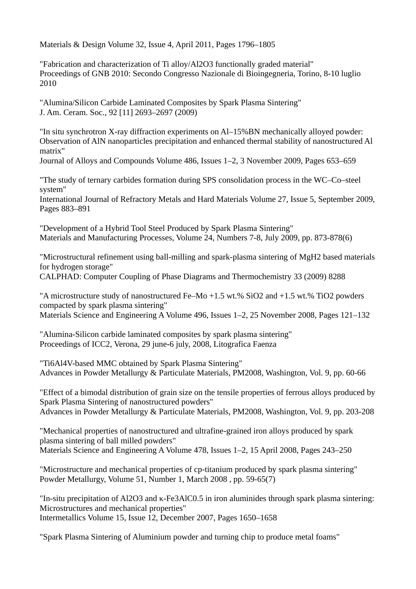Materials & Design Volume 32, Issue 4, April 2011, Pages 1796–1805

"Fabrication and characterization of Ti alloy/Al2O3 functionally graded material" Proceedings of GNB 2010: Secondo Congresso Nazionale di Bioingegneria, Torino, 8-10 luglio 2010

"Alumina/Silicon Carbide Laminated Composites by Spark Plasma Sintering" J. Am. Ceram. Soc., 92 [11] 2693–2697 (2009)

"In situ synchrotron X-ray diffraction experiments on Al–15%BN mechanically alloyed powder: Observation of AlN nanoparticles precipitation and enhanced thermal stability of nanostructured Al matrix"

Journal of Alloys and Compounds Volume 486, Issues 1–2, 3 November 2009, Pages 653–659

"The study of ternary carbides formation during SPS consolidation process in the WC–Co–steel system"

International Journal of Refractory Metals and Hard Materials Volume 27, Issue 5, September 2009, Pages 883–891

"Development of a Hybrid Tool Steel Produced by Spark Plasma Sintering" Materials and Manufacturing Processes, Volume 24, Numbers 7-8, July 2009, pp. 873-878(6)

"Microstructural refinement using ball-milling and spark-plasma sintering of MgH2 based materials for hydrogen storage"

CALPHAD: Computer Coupling of Phase Diagrams and Thermochemistry 33 (2009) 8288

"A microstructure study of nanostructured Fe–Mo +1.5 wt.% SiO2 and +1.5 wt.% TiO2 powders compacted by spark plasma sintering" Materials Science and Engineering A Volume 496, Issues 1–2, 25 November 2008, Pages 121–132

"Alumina-Silicon carbide laminated composites by spark plasma sintering" Proceedings of ICC2, Verona, 29 june-6 july, 2008, Litografica Faenza

"Ti6Al4V-based MMC obtained by Spark Plasma Sintering" Advances in Powder Metallurgy & Particulate Materials, PM2008, Washington, Vol. 9, pp. 60-66

"Effect of a bimodal distribution of grain size on the tensile properties of ferrous alloys produced by Spark Plasma Sintering of nanostructured powders" Advances in Powder Metallurgy & Particulate Materials, PM2008, Washington, Vol. 9, pp. 203-208

"Mechanical properties of nanostructured and ultrafine-grained iron alloys produced by spark plasma sintering of ball milled powders" Materials Science and Engineering A Volume 478, Issues 1–2, 15 April 2008, Pages 243–250

"Microstructure and mechanical properties of cp-titanium produced by spark plasma sintering" Powder Metallurgy, Volume 51, Number 1, March 2008 , pp. 59-65(7)

"In-situ precipitation of Al2O3 and κ-Fe3AlC0.5 in iron aluminides through spark plasma sintering: Microstructures and mechanical properties" Intermetallics Volume 15, Issue 12, December 2007, Pages 1650–1658

"Spark Plasma Sintering of Aluminium powder and turning chip to produce metal foams"